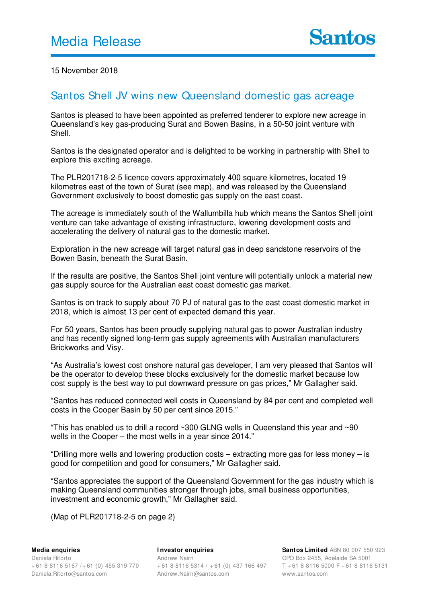15 November 2018

## Santos Shell JV wins new Queensland domestic gas acreage

Santos is pleased to have been appointed as preferred tenderer to explore new acreage in Queensland's key gas-producing Surat and Bowen Basins, in a 50-50 joint venture with Shell.

Santos is the designated operator and is delighted to be working in partnership with Shell to explore this exciting acreage.

The PLR201718-2-5 licence covers approximately 400 square kilometres, located 19 kilometres east of the town of Surat (see map), and was released by the Queensland Government exclusively to boost domestic gas supply on the east coast.

The acreage is immediately south of the Wallumbilla hub which means the Santos Shell joint venture can take advantage of existing infrastructure, lowering development costs and accelerating the delivery of natural gas to the domestic market.

Exploration in the new acreage will target natural gas in deep sandstone reservoirs of the Bowen Basin, beneath the Surat Basin.

If the results are positive, the Santos Shell joint venture will potentially unlock a material new gas supply source for the Australian east coast domestic gas market.

Santos is on track to supply about 70 PJ of natural gas to the east coast domestic market in 2018, which is almost 13 per cent of expected demand this year.

For 50 years, Santos has been proudly supplying natural gas to power Australian industry and has recently signed long-term gas supply agreements with Australian manufacturers Brickworks and Visy.

"As Australia's lowest cost onshore natural gas developer, I am very pleased that Santos will be the operator to develop these blocks exclusively for the domestic market because low cost supply is the best way to put downward pressure on gas prices," Mr Gallagher said.

"Santos has reduced connected well costs in Queensland by 84 per cent and completed well costs in the Cooper Basin by 50 per cent since 2015."

"This has enabled us to drill a record  $\sim$ 300 GLNG wells in Queensland this year and  $\sim$ 90 wells in the Cooper – the most wells in a year since 2014."

"Drilling more wells and lowering production costs – extracting more gas for less money – is good for competition and good for consumers," Mr Gallagher said.

"Santos appreciates the support of the Queensland Government for the gas industry which is making Queensland communities stronger through jobs, small business opportunities, investment and economic growth," Mr Gallagher said.

(Map of PLR201718-2-5 on page 2)